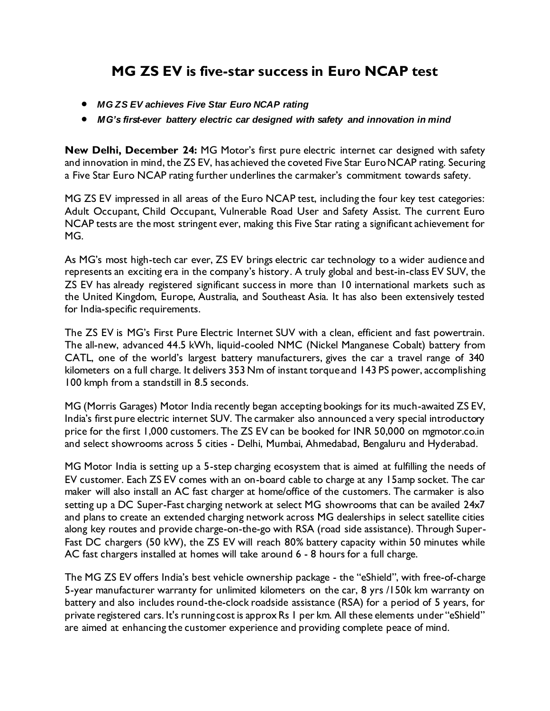## **MG ZS EV is five-star success in Euro NCAP test**

- *MG ZS EV achieves Five Star Euro NCAP rating*
- *MG's first-ever battery electric car designed with safety and innovation in mind*

**New Delhi, December 24:** MG Motor's first pure electric internet car designed with safety and innovation in mind, the ZS EV, has achieved the coveted Five Star Euro NCAP rating. Securing a Five Star Euro NCAP rating further underlines the carmaker's commitment towards safety.

MG ZS EV impressed in all areas of the Euro NCAP test, including the four key test categories: Adult Occupant, Child Occupant, Vulnerable Road User and Safety Assist. The current Euro NCAP tests are the most stringent ever, making this Five Star rating a significant achievement for MG.

As MG's most high-tech car ever, ZS EV brings electric car technology to a wider audience and represents an exciting era in the company's history. A truly global and best-in-class EV SUV, the ZS EV has already registered significant success in more than 10 international markets such as the United Kingdom, Europe, Australia, and Southeast Asia. It has also been extensively tested for India-specific requirements.

The ZS EV is MG's First Pure Electric Internet SUV with a clean, efficient and fast powertrain. The all-new, advanced 44.5 kWh, liquid-cooled NMC (Nickel Manganese Cobalt) battery from CATL, one of the world's largest battery manufacturers, gives the car a travel range of 340 kilometers on a full charge. It delivers 353 Nm of instant torque and 143 PS power, accomplishing 100 kmph from a standstill in 8.5 seconds.

MG (Morris Garages) Motor India recently began accepting bookings for its much-awaited ZS EV, India's first pure electric internet SUV. The carmaker also announced a very special introductory price for the first 1,000 customers. The ZS EV can be booked for INR 50,000 on mgmotor.co.in and select showrooms across 5 cities - Delhi, Mumbai, Ahmedabad, Bengaluru and Hyderabad.

MG Motor India is setting up a 5-step charging ecosystem that is aimed at fulfilling the needs of EV customer. Each ZS EV comes with an on-board cable to charge at any 15amp socket. The car maker will also install an AC fast charger at home/office of the customers. The carmaker is also setting up a DC Super-Fast charging network at select MG showrooms that can be availed 24x7 and plans to create an extended charging network across MG dealerships in select satellite cities along key routes and provide charge-on-the-go with RSA (road side assistance). Through Super-Fast DC chargers (50 kW), the ZS EV will reach 80% battery capacity within 50 minutes while AC fast chargers installed at homes will take around 6 - 8 hours for a full charge.

The MG ZS EV offers India's best vehicle ownership package - the "eShield", with free-of-charge 5-year manufacturer warranty for unlimited kilometers on the car, 8 yrs /150k km warranty on battery and also includes round-the-clock roadside assistance (RSA) for a period of 5 years, for private registered cars. It's running cost is approx Rs 1 per km. All these elements under "eShield" are aimed at enhancing the customer experience and providing complete peace of mind.